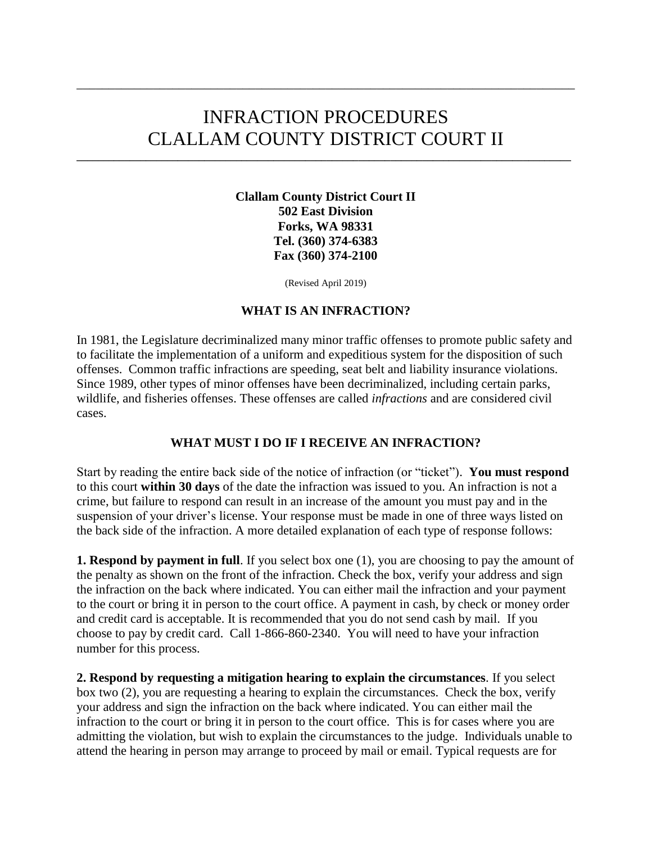# INFRACTION PROCEDURES CLALLAM COUNTY DISTRICT COURT II

**\_\_\_\_\_\_\_\_\_\_\_\_\_\_\_\_\_\_\_\_\_\_\_\_\_\_\_\_\_\_\_\_\_\_\_\_\_\_\_\_\_\_\_\_\_\_\_\_\_\_\_\_\_\_\_\_\_\_\_\_\_\_\_\_\_\_\_\_\_\_\_\_\_\_\_\_\_\_\_\_\_\_\_\_\_\_\_\_\_\_\_\_\_**

\_\_\_\_\_\_\_\_\_\_\_\_\_\_\_\_\_\_\_\_\_\_\_\_\_\_\_\_\_\_\_\_\_\_\_\_\_\_\_\_\_\_\_\_\_\_\_\_\_\_\_\_\_\_\_\_\_\_\_\_\_\_\_\_\_\_\_\_\_\_\_\_\_\_\_\_\_\_

**Clallam County District Court II 502 East Division Forks, WA 98331 Tel. (360) 374-6383 Fax (360) 374-2100**

(Revised April 2019)

#### **WHAT IS AN INFRACTION?**

In 1981, the Legislature decriminalized many minor traffic offenses to promote public safety and to facilitate the implementation of a uniform and expeditious system for the disposition of such offenses. Common traffic infractions are speeding, seat belt and liability insurance violations. Since 1989, other types of minor offenses have been decriminalized, including certain parks, wildlife, and fisheries offenses. These offenses are called *infractions* and are considered civil cases.

#### **WHAT MUST I DO IF I RECEIVE AN INFRACTION?**

Start by reading the entire back side of the notice of infraction (or "ticket"). **You must respond**  to this court **within 30 days** of the date the infraction was issued to you. An infraction is not a crime, but failure to respond can result in an increase of the amount you must pay and in the suspension of your driver's license. Your response must be made in one of three ways listed on the back side of the infraction. A more detailed explanation of each type of response follows:

**1. Respond by payment in full**. If you select box one (1), you are choosing to pay the amount of the penalty as shown on the front of the infraction. Check the box, verify your address and sign the infraction on the back where indicated. You can either mail the infraction and your payment to the court or bring it in person to the court office. A payment in cash, by check or money order and credit card is acceptable. It is recommended that you do not send cash by mail. If you choose to pay by credit card. Call 1-866-860-2340. You will need to have your infraction number for this process.

**2. Respond by requesting a mitigation hearing to explain the circumstances**. If you select box two (2), you are requesting a hearing to explain the circumstances. Check the box, verify your address and sign the infraction on the back where indicated. You can either mail the infraction to the court or bring it in person to the court office. This is for cases where you are admitting the violation, but wish to explain the circumstances to the judge. Individuals unable to attend the hearing in person may arrange to proceed by mail or email. Typical requests are for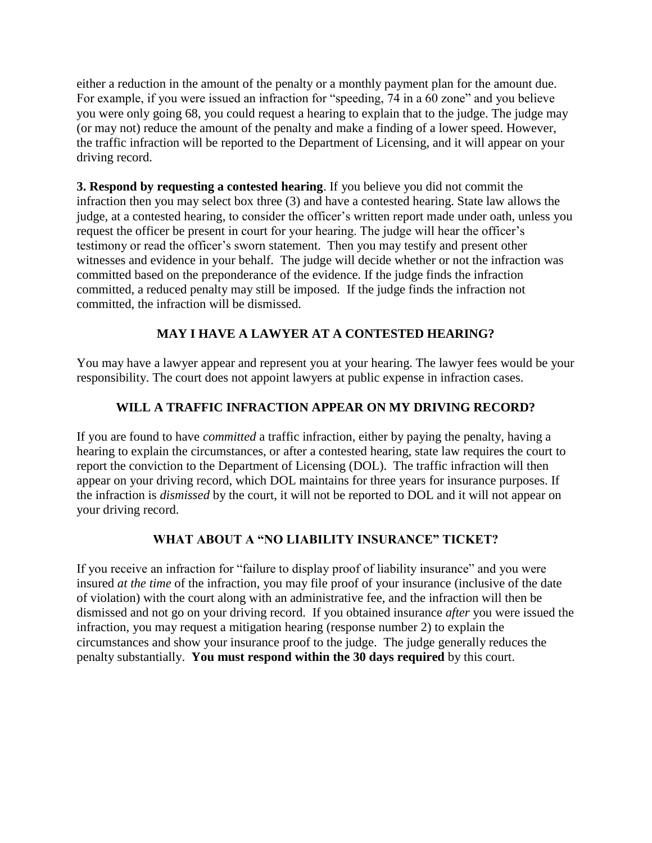either a reduction in the amount of the penalty or a monthly payment plan for the amount due. For example, if you were issued an infraction for "speeding, 74 in a 60 zone" and you believe you were only going 68, you could request a hearing to explain that to the judge. The judge may (or may not) reduce the amount of the penalty and make a finding of a lower speed. However, the traffic infraction will be reported to the Department of Licensing, and it will appear on your driving record.

**3. Respond by requesting a contested hearing**. If you believe you did not commit the infraction then you may select box three (3) and have a contested hearing. State law allows the judge, at a contested hearing, to consider the officer's written report made under oath, unless you request the officer be present in court for your hearing. The judge will hear the officer's testimony or read the officer's sworn statement. Then you may testify and present other witnesses and evidence in your behalf. The judge will decide whether or not the infraction was committed based on the preponderance of the evidence. If the judge finds the infraction committed, a reduced penalty may still be imposed. If the judge finds the infraction not committed, the infraction will be dismissed.

## **MAY I HAVE A LAWYER AT A CONTESTED HEARING?**

You may have a lawyer appear and represent you at your hearing. The lawyer fees would be your responsibility. The court does not appoint lawyers at public expense in infraction cases.

## **WILL A TRAFFIC INFRACTION APPEAR ON MY DRIVING RECORD?**

If you are found to have *committed* a traffic infraction, either by paying the penalty, having a hearing to explain the circumstances, or after a contested hearing, state law requires the court to report the conviction to the Department of Licensing (DOL). The traffic infraction will then appear on your driving record, which DOL maintains for three years for insurance purposes. If the infraction is *dismissed* by the court, it will not be reported to DOL and it will not appear on your driving record.

## **WHAT ABOUT A "NO LIABILITY INSURANCE" TICKET?**

If you receive an infraction for "failure to display proof of liability insurance" and you were insured *at the time* of the infraction, you may file proof of your insurance (inclusive of the date of violation) with the court along with an administrative fee, and the infraction will then be dismissed and not go on your driving record. If you obtained insurance *after* you were issued the infraction, you may request a mitigation hearing (response number 2) to explain the circumstances and show your insurance proof to the judge. The judge generally reduces the penalty substantially. **You must respond within the 30 days required** by this court.